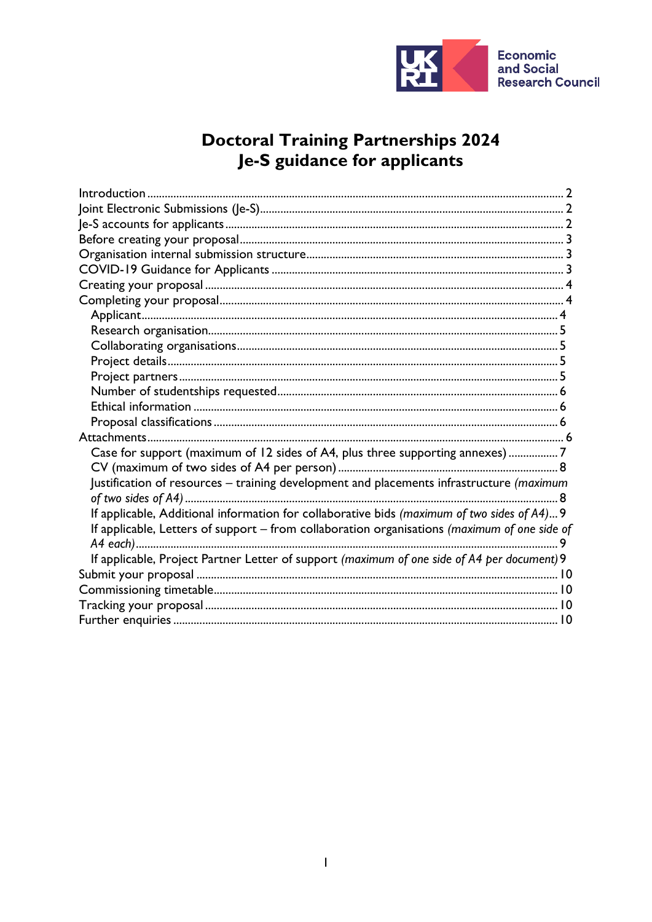

# **Doctoral Training Partnerships 2024**<br>Je-S guidance for applicants

| Case for support (maximum of 12 sides of A4, plus three supporting annexes) 7                |  |
|----------------------------------------------------------------------------------------------|--|
|                                                                                              |  |
| Justification of resources - training development and placements infrastructure (maximum     |  |
|                                                                                              |  |
| If applicable, Additional information for collaborative bids (maximum of two sides of A4) 9  |  |
| If applicable, Letters of support - from collaboration organisations (maximum of one side of |  |
|                                                                                              |  |
| If applicable, Project Partner Letter of support (maximum of one side of A4 per document) 9  |  |
|                                                                                              |  |
|                                                                                              |  |
|                                                                                              |  |
|                                                                                              |  |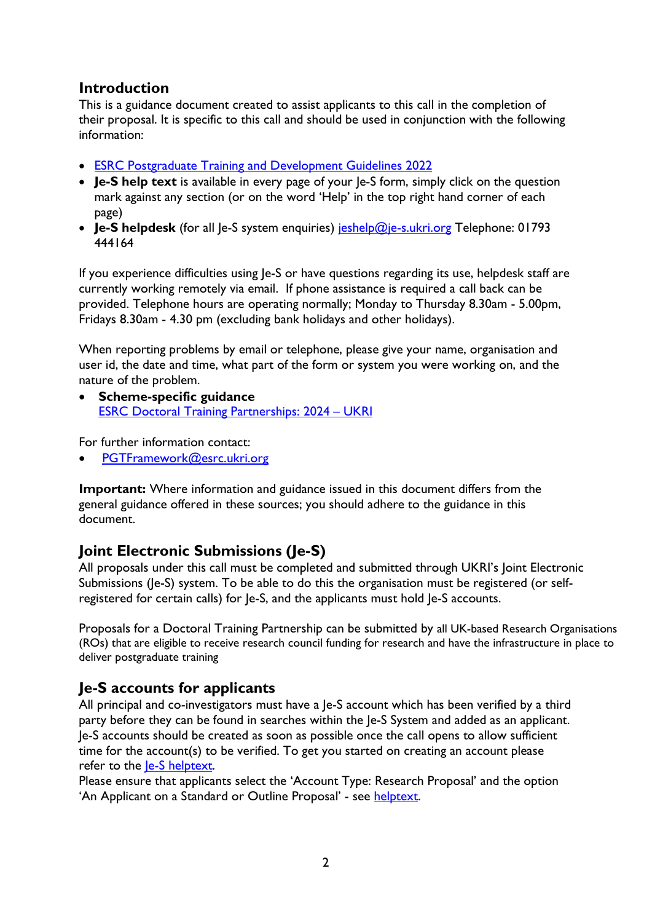## Introduction

This is a guidance document created to assist applicants to this call in the completion of their proposal. It is specific to this call and should be used in conjunction with the following information:

- ESRC Postgraduate Training and Development Guidelines 2022
- Je-S help text is available in every page of your le-S form, simply click on the question mark against any section (or on the word 'Help' in the top right hand corner of each page)
- Je-S helpdesk (for all Je-S system enquiries) jeshelp@je-s.ukri.org Telephone: 01793 444164

If you experience difficulties using Je-S or have questions regarding its use, helpdesk staff are currently working remotely via email. If phone assistance is required a call back can be provided. Telephone hours are operating normally; Monday to Thursday 8.30am - 5.00pm, Fridays 8.30am - 4.30 pm (excluding bank holidays and other holidays).

When reporting problems by email or telephone, please give your name, organisation and user id, the date and time, what part of the form or system you were working on, and the nature of the problem.

• Scheme-specific guidance ESRC Doctoral Training Partnerships: 2024 – UKRI

For further information contact:

PGTFramework@esrc.ukri.org

Important: Where information and guidance issued in this document differs from the general guidance offered in these sources; you should adhere to the guidance in this document.

# Joint Electronic Submissions (Je-S)

All proposals under this call must be completed and submitted through UKRI's Joint Electronic Submissions (Ie-S) system. To be able to do this the organisation must be registered (or selfregistered for certain calls) for Je-S, and the applicants must hold Je-S accounts.

Proposals for a Doctoral Training Partnership can be submitted by all UK-based Research Organisations (ROs) that are eligible to receive research council funding for research and have the infrastructure in place to deliver postgraduate training

## Je-S accounts for applicants

All principal and co-investigators must have a Je-S account which has been verified by a third party before they can be found in searches within the Je-S System and added as an applicant. Je-S accounts should be created as soon as possible once the call opens to allow sufficient time for the account(s) to be verified. To get you started on creating an account please refer to the le-S helptext.

Please ensure that applicants select the 'Account Type: Research Proposal' and the option 'An Applicant on a Standard or Outline Proposal' - see helptext.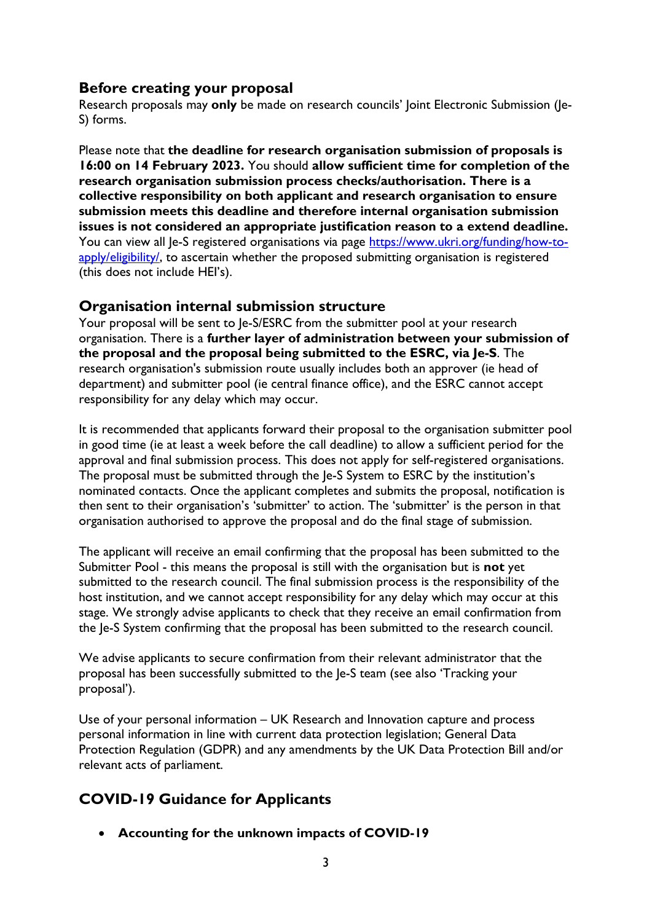## Before creating your proposal

Research proposals may only be made on research councils' Joint Electronic Submission (Je-S) forms.

Please note that the deadline for research organisation submission of proposals is 16:00 on 14 February 2023. You should allow sufficient time for completion of the research organisation submission process checks/authorisation. There is a collective responsibility on both applicant and research organisation to ensure submission meets this deadline and therefore internal organisation submission issues is not considered an appropriate justification reason to a extend deadline. You can view all Je-S registered organisations via page https://www.ukri.org/funding/how-toapply/eligibility/, to ascertain whether the proposed submitting organisation is registered (this does not include HEI's).

## Organisation internal submission structure

Your proposal will be sent to Je-S/ESRC from the submitter pool at your research organisation. There is a further layer of administration between your submission of the proposal and the proposal being submitted to the ESRC, via Je-S. The research organisation's submission route usually includes both an approver (ie head of department) and submitter pool (ie central finance office), and the ESRC cannot accept responsibility for any delay which may occur.

It is recommended that applicants forward their proposal to the organisation submitter pool in good time (ie at least a week before the call deadline) to allow a sufficient period for the approval and final submission process. This does not apply for self-registered organisations. The proposal must be submitted through the Je-S System to ESRC by the institution's nominated contacts. Once the applicant completes and submits the proposal, notification is then sent to their organisation's 'submitter' to action. The 'submitter' is the person in that organisation authorised to approve the proposal and do the final stage of submission.

The applicant will receive an email confirming that the proposal has been submitted to the Submitter Pool - this means the proposal is still with the organisation but is not yet submitted to the research council. The final submission process is the responsibility of the host institution, and we cannot accept responsibility for any delay which may occur at this stage. We strongly advise applicants to check that they receive an email confirmation from the Je-S System confirming that the proposal has been submitted to the research council.

We advise applicants to secure confirmation from their relevant administrator that the proposal has been successfully submitted to the Je-S team (see also 'Tracking your proposal').

Use of your personal information – UK Research and Innovation capture and process personal information in line with current data protection legislation; General Data Protection Regulation (GDPR) and any amendments by the UK Data Protection Bill and/or relevant acts of parliament.

# COVID-19 Guidance for Applicants

Accounting for the unknown impacts of COVID-19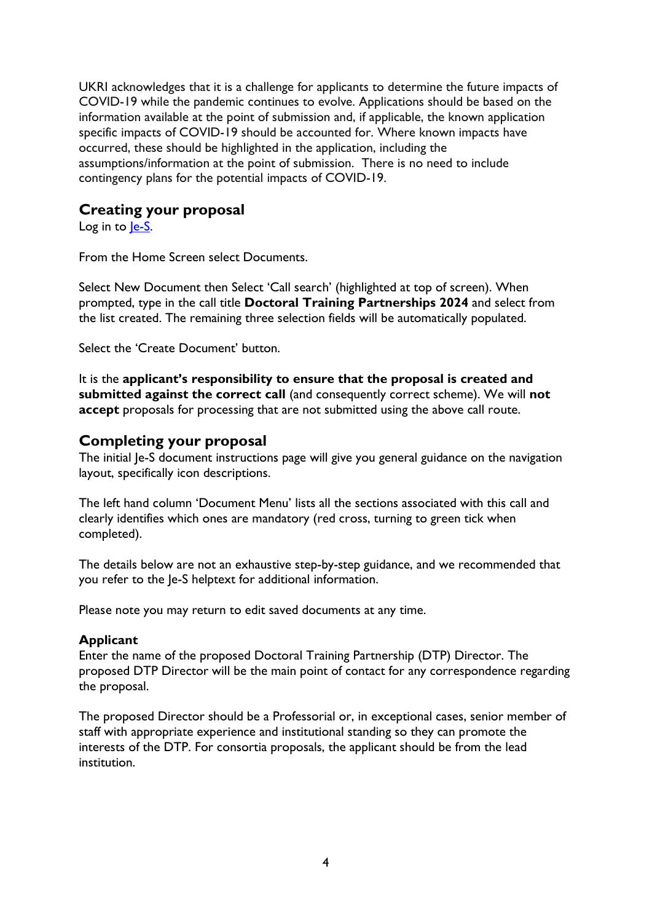UKRI acknowledges that it is a challenge for applicants to determine the future impacts of COVID-19 while the pandemic continues to evolve. Applications should be based on the information available at the point of submission and, if applicable, the known application specific impacts of COVID-19 should be accounted for. Where known impacts have occurred, these should be highlighted in the application, including the assumptions/information at the point of submission. There is no need to include contingency plans for the potential impacts of COVID-19.

## Creating your proposal

Log in to le-S.

From the Home Screen select Documents.

Select New Document then Select 'Call search' (highlighted at top of screen). When prompted, type in the call title Doctoral Training Partnerships 2024 and select from the list created. The remaining three selection fields will be automatically populated.

Select the 'Create Document' button.

It is the applicant's responsibility to ensure that the proposal is created and submitted against the correct call (and consequently correct scheme). We will not accept proposals for processing that are not submitted using the above call route.

## Completing your proposal

The initial Je-S document instructions page will give you general guidance on the navigation layout, specifically icon descriptions.

The left hand column 'Document Menu' lists all the sections associated with this call and clearly identifies which ones are mandatory (red cross, turning to green tick when completed).

The details below are not an exhaustive step-by-step guidance, and we recommended that you refer to the Je-S helptext for additional information.

Please note you may return to edit saved documents at any time.

## Applicant

Enter the name of the proposed Doctoral Training Partnership (DTP) Director. The proposed DTP Director will be the main point of contact for any correspondence regarding the proposal.

The proposed Director should be a Professorial or, in exceptional cases, senior member of staff with appropriate experience and institutional standing so they can promote the interests of the DTP. For consortia proposals, the applicant should be from the lead institution.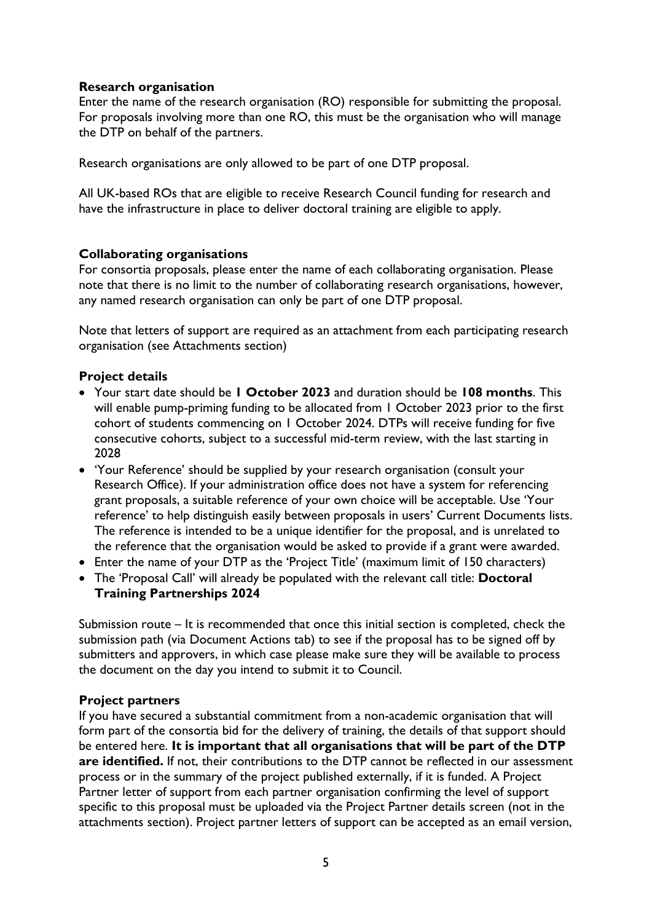#### Research organisation

Enter the name of the research organisation (RO) responsible for submitting the proposal. For proposals involving more than one RO, this must be the organisation who will manage the DTP on behalf of the partners.

Research organisations are only allowed to be part of one DTP proposal.

All UK-based ROs that are eligible to receive Research Council funding for research and have the infrastructure in place to deliver doctoral training are eligible to apply.

#### Collaborating organisations

For consortia proposals, please enter the name of each collaborating organisation. Please note that there is no limit to the number of collaborating research organisations, however, any named research organisation can only be part of one DTP proposal.

Note that letters of support are required as an attachment from each participating research organisation (see Attachments section)

#### Project details

- Your start date should be **1 October 2023** and duration should be **108 months**. This will enable pump-priming funding to be allocated from 1 October 2023 prior to the first cohort of students commencing on 1 October 2024. DTPs will receive funding for five consecutive cohorts, subject to a successful mid-term review, with the last starting in 2028
- 'Your Reference' should be supplied by your research organisation (consult your Research Office). If your administration office does not have a system for referencing grant proposals, a suitable reference of your own choice will be acceptable. Use 'Your reference' to help distinguish easily between proposals in users' Current Documents lists. The reference is intended to be a unique identifier for the proposal, and is unrelated to the reference that the organisation would be asked to provide if a grant were awarded.
- Enter the name of your DTP as the 'Project Title' (maximum limit of 150 characters)
- The 'Proposal Call' will already be populated with the relevant call title: Doctoral Training Partnerships 2024

Submission route – It is recommended that once this initial section is completed, check the submission path (via Document Actions tab) to see if the proposal has to be signed off by submitters and approvers, in which case please make sure they will be available to process the document on the day you intend to submit it to Council.

## Project partners

If you have secured a substantial commitment from a non-academic organisation that will form part of the consortia bid for the delivery of training, the details of that support should be entered here. It is important that all organisations that will be part of the DTP are identified. If not, their contributions to the DTP cannot be reflected in our assessment process or in the summary of the project published externally, if it is funded. A Project Partner letter of support from each partner organisation confirming the level of support specific to this proposal must be uploaded via the Project Partner details screen (not in the attachments section). Project partner letters of support can be accepted as an email version,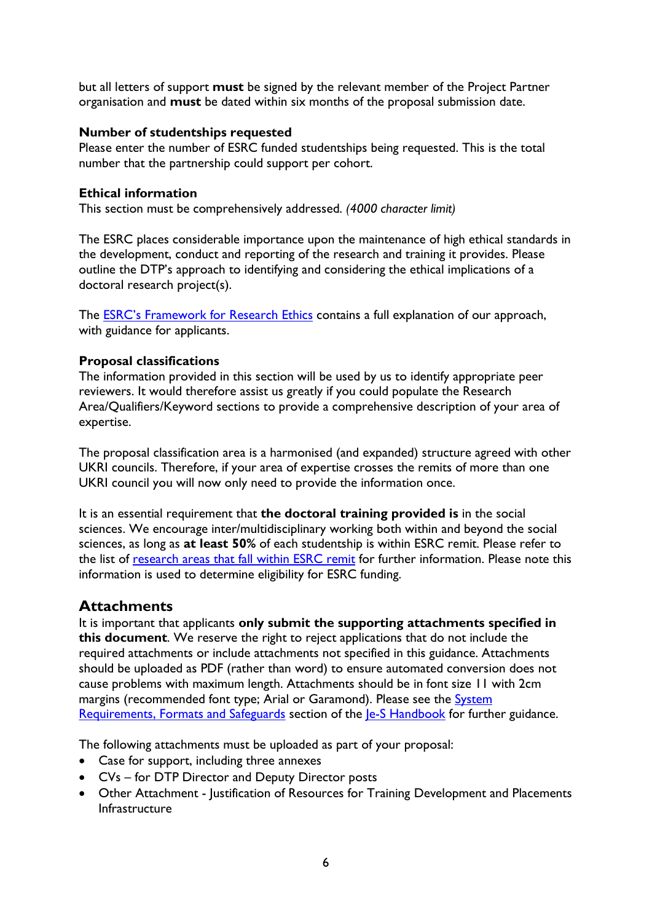but all letters of support must be signed by the relevant member of the Project Partner organisation and must be dated within six months of the proposal submission date.

#### Number of studentships requested

Please enter the number of ESRC funded studentships being requested. This is the total number that the partnership could support per cohort.

#### Ethical information

This section must be comprehensively addressed. (4000 character limit)

The ESRC places considerable importance upon the maintenance of high ethical standards in the development, conduct and reporting of the research and training it provides. Please outline the DTP's approach to identifying and considering the ethical implications of a doctoral research project(s).

The ESRC's Framework for Research Ethics contains a full explanation of our approach, with guidance for applicants.

## Proposal classifications

The information provided in this section will be used by us to identify appropriate peer reviewers. It would therefore assist us greatly if you could populate the Research Area/Qualifiers/Keyword sections to provide a comprehensive description of your area of expertise.

The proposal classification area is a harmonised (and expanded) structure agreed with other UKRI councils. Therefore, if your area of expertise crosses the remits of more than one UKRI council you will now only need to provide the information once.

It is an essential requirement that the doctoral training provided is in the social sciences. We encourage inter/multidisciplinary working both within and beyond the social sciences, as long as at least 50% of each studentship is within ESRC remit. Please refer to the list of research areas that fall within ESRC remit for further information. Please note this information is used to determine eligibility for ESRC funding.

## **Attachments**

It is important that applicants only submit the supporting attachments specified in this document. We reserve the right to reject applications that do not include the required attachments or include attachments not specified in this guidance. Attachments should be uploaded as PDF (rather than word) to ensure automated conversion does not cause problems with maximum length. Attachments should be in font size 11 with 2cm margins (recommended font type; Arial or Garamond). Please see the **System** Requirements, Formats and Safeguards section of the Je-S Handbook for further guidance.

The following attachments must be uploaded as part of your proposal:

- Case for support, including three annexes
- CVs for DTP Director and Deputy Director posts
- Other Attachment Justification of Resources for Training Development and Placements Infrastructure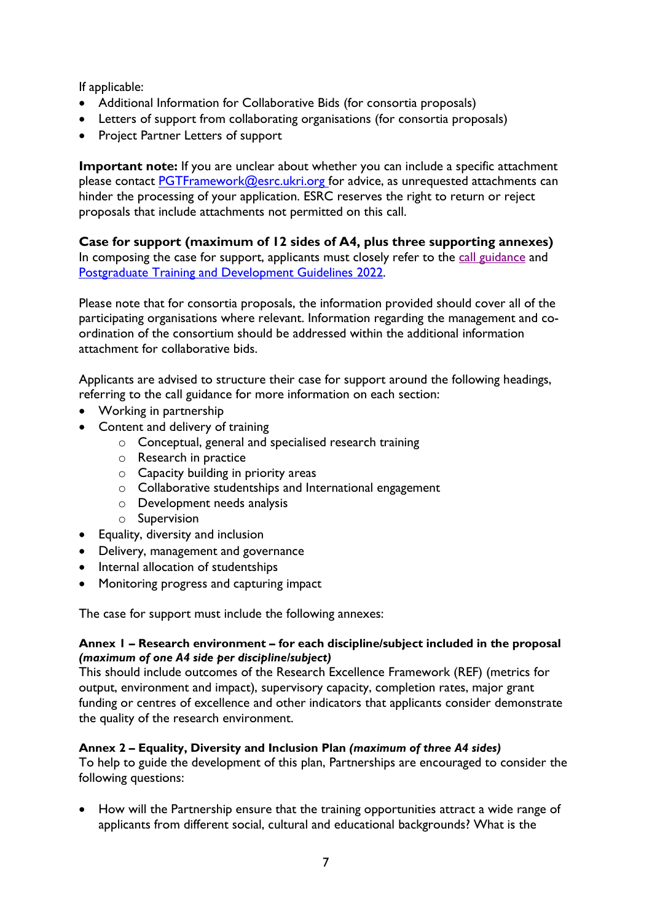If applicable:

- Additional Information for Collaborative Bids (for consortia proposals)
- Letters of support from collaborating organisations (for consortia proposals)
- Project Partner Letters of support

Important note: If you are unclear about whether you can include a specific attachment please contact **PGTFramework@esrc.ukri.org** for advice, as unrequested attachments can hinder the processing of your application. ESRC reserves the right to return or reject proposals that include attachments not permitted on this call.

Case for support (maximum of 12 sides of A4, plus three supporting annexes) In composing the case for support, applicants must closely refer to the call guidance and Postgraduate Training and Development Guidelines 2022.

Please note that for consortia proposals, the information provided should cover all of the participating organisations where relevant. Information regarding the management and coordination of the consortium should be addressed within the additional information attachment for collaborative bids.

Applicants are advised to structure their case for support around the following headings, referring to the call guidance for more information on each section:

- Working in partnership
- Content and delivery of training
	- o Conceptual, general and specialised research training
	- o Research in practice
	- o Capacity building in priority areas
	- o Collaborative studentships and International engagement
	- o Development needs analysis
	- o Supervision
- Equality, diversity and inclusion
- Delivery, management and governance
- Internal allocation of studentships
- Monitoring progress and capturing impact

The case for support must include the following annexes:

#### Annex 1 – Research environment – for each discipline/subject included in the proposal (maximum of one A4 side per discipline/subject)

This should include outcomes of the Research Excellence Framework (REF) (metrics for output, environment and impact), supervisory capacity, completion rates, major grant funding or centres of excellence and other indicators that applicants consider demonstrate the quality of the research environment.

## Annex 2 – Equality, Diversity and Inclusion Plan (maximum of three A4 sides)

To help to guide the development of this plan, Partnerships are encouraged to consider the following questions:

• How will the Partnership ensure that the training opportunities attract a wide range of applicants from different social, cultural and educational backgrounds? What is the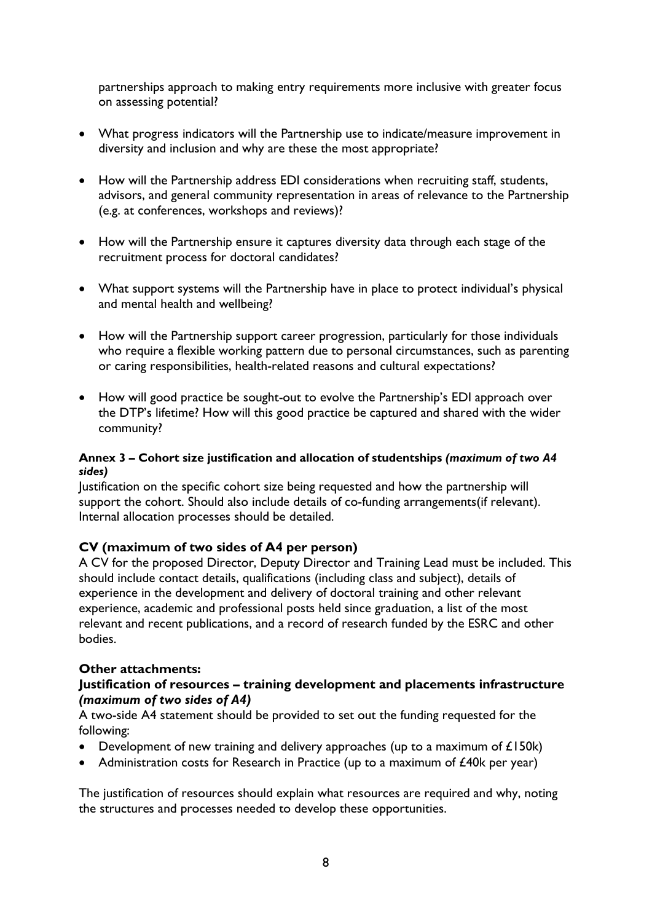partnerships approach to making entry requirements more inclusive with greater focus on assessing potential?

- What progress indicators will the Partnership use to indicate/measure improvement in diversity and inclusion and why are these the most appropriate?
- How will the Partnership address EDI considerations when recruiting staff, students, advisors, and general community representation in areas of relevance to the Partnership (e.g. at conferences, workshops and reviews)?
- How will the Partnership ensure it captures diversity data through each stage of the recruitment process for doctoral candidates?
- What support systems will the Partnership have in place to protect individual's physical and mental health and wellbeing?
- How will the Partnership support career progression, particularly for those individuals who require a flexible working pattern due to personal circumstances, such as parenting or caring responsibilities, health-related reasons and cultural expectations?
- How will good practice be sought-out to evolve the Partnership's EDI approach over the DTP's lifetime? How will this good practice be captured and shared with the wider community?

#### Annex 3 – Cohort size justification and allocation of studentships (maximum of two A4 sides)

Justification on the specific cohort size being requested and how the partnership will support the cohort. Should also include details of co-funding arrangements(if relevant). Internal allocation processes should be detailed.

## CV (maximum of two sides of A4 per person)

A CV for the proposed Director, Deputy Director and Training Lead must be included. This should include contact details, qualifications (including class and subject), details of experience in the development and delivery of doctoral training and other relevant experience, academic and professional posts held since graduation, a list of the most relevant and recent publications, and a record of research funded by the ESRC and other bodies.

## Other attachments:

## Justification of resources – training development and placements infrastructure (maximum of two sides of A4)

A two-side A4 statement should be provided to set out the funding requested for the following:

- Development of new training and delivery approaches (up to a maximum of  $£150k$ )
- Administration costs for Research in Practice (up to a maximum of £40k per year)

The justification of resources should explain what resources are required and why, noting the structures and processes needed to develop these opportunities.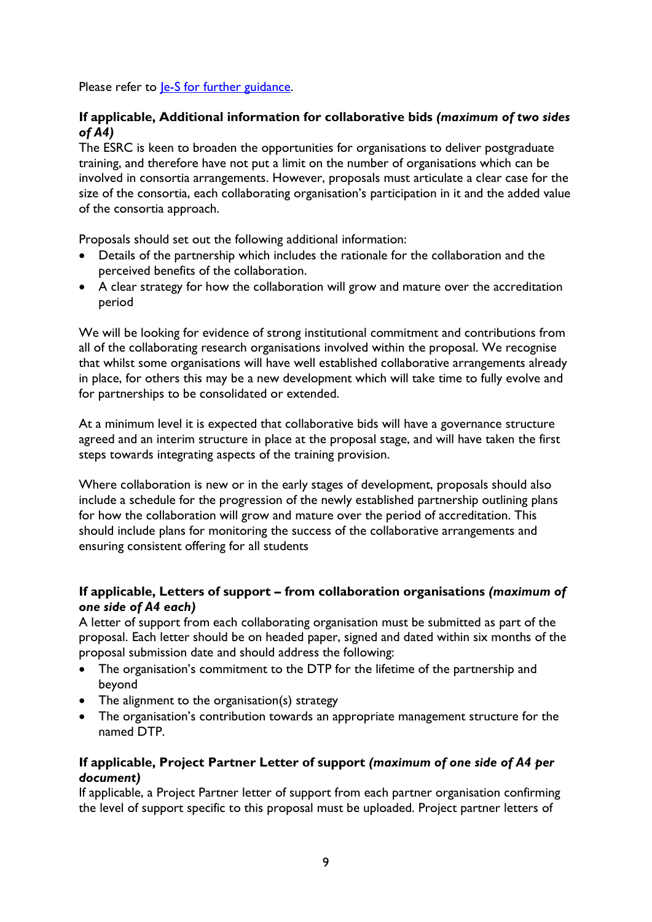Please refer to <u>Je-S for further guidance</u>.

## If applicable, Additional information for collaborative bids (maximum of two sides of A4)

The ESRC is keen to broaden the opportunities for organisations to deliver postgraduate training, and therefore have not put a limit on the number of organisations which can be involved in consortia arrangements. However, proposals must articulate a clear case for the size of the consortia, each collaborating organisation's participation in it and the added value of the consortia approach.

Proposals should set out the following additional information:

- Details of the partnership which includes the rationale for the collaboration and the perceived benefits of the collaboration.
- A clear strategy for how the collaboration will grow and mature over the accreditation period

We will be looking for evidence of strong institutional commitment and contributions from all of the collaborating research organisations involved within the proposal. We recognise that whilst some organisations will have well established collaborative arrangements already in place, for others this may be a new development which will take time to fully evolve and for partnerships to be consolidated or extended.

At a minimum level it is expected that collaborative bids will have a governance structure agreed and an interim structure in place at the proposal stage, and will have taken the first steps towards integrating aspects of the training provision.

Where collaboration is new or in the early stages of development, proposals should also include a schedule for the progression of the newly established partnership outlining plans for how the collaboration will grow and mature over the period of accreditation. This should include plans for monitoring the success of the collaborative arrangements and ensuring consistent offering for all students

## If applicable, Letters of support – from collaboration organisations (maximum of one side of A4 each)

A letter of support from each collaborating organisation must be submitted as part of the proposal. Each letter should be on headed paper, signed and dated within six months of the proposal submission date and should address the following:

- The organisation's commitment to the DTP for the lifetime of the partnership and beyond
- The alignment to the organisation(s) strategy
- The organisation's contribution towards an appropriate management structure for the named DTP.

## If applicable, Project Partner Letter of support (maximum of one side of A4 per document)

If applicable, a Project Partner letter of support from each partner organisation confirming the level of support specific to this proposal must be uploaded. Project partner letters of